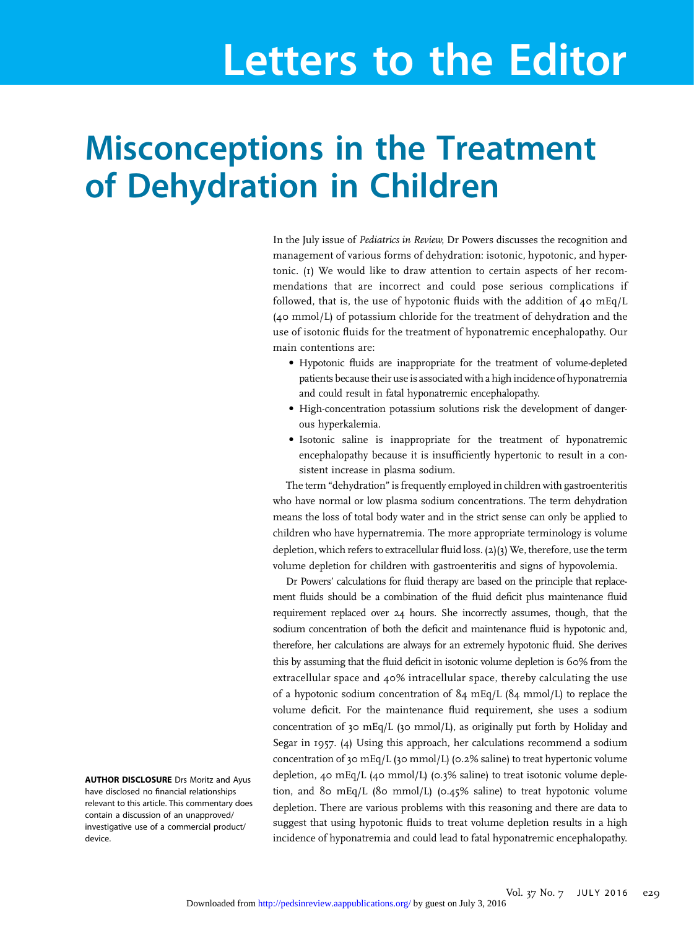# Letters to the Editor

## Misconceptions in the Treatment of Dehydration in Children

In the July issue of Pediatrics in Review, Dr Powers discusses the recognition and management of various forms of dehydration: isotonic, hypotonic, and hypertonic. (1) We would like to draw attention to certain aspects of her recommendations that are incorrect and could pose serious complications if followed, that is, the use of hypotonic fluids with the addition of  $40 \text{ mEq/L}$ (40 mmol/L) of potassium chloride for the treatment of dehydration and the use of isotonic fluids for the treatment of hyponatremic encephalopathy. Our main contentions are:

- Hypotonic fluids are inappropriate for the treatment of volume-depleted patients because their use is associated with a high incidence of hyponatremia and could result in fatal hyponatremic encephalopathy.
- High-concentration potassium solutions risk the development of dangerous hyperkalemia.
- Isotonic saline is inappropriate for the treatment of hyponatremic encephalopathy because it is insufficiently hypertonic to result in a consistent increase in plasma sodium.

The term "dehydration" is frequently employed in children with gastroenteritis who have normal or low plasma sodium concentrations. The term dehydration means the loss of total body water and in the strict sense can only be applied to children who have hypernatremia. The more appropriate terminology is volume depletion, which refers to extracellular fluid loss. (2)(3) We, therefore, use the term volume depletion for children with gastroenteritis and signs of hypovolemia.

Dr Powers' calculations for fluid therapy are based on the principle that replacement fluids should be a combination of the fluid deficit plus maintenance fluid requirement replaced over 24 hours. She incorrectly assumes, though, that the sodium concentration of both the deficit and maintenance fluid is hypotonic and, therefore, her calculations are always for an extremely hypotonic fluid. She derives this by assuming that the fluid deficit in isotonic volume depletion is 60% from the extracellular space and 40% intracellular space, thereby calculating the use of a hypotonic sodium concentration of 84 mEq/L (84 mmol/L) to replace the volume deficit. For the maintenance fluid requirement, she uses a sodium concentration of 30 mEq/L (30 mmol/L), as originally put forth by Holiday and Segar in 1957. (4) Using this approach, her calculations recommend a sodium concentration of 30 mEq/L (30 mmol/L) (0.2% saline) to treat hypertonic volume depletion, 40 mEq/L (40 mmol/L) (0.3% saline) to treat isotonic volume depletion, and 80 mEq/L (80 mmol/L) (0.45% saline) to treat hypotonic volume depletion. There are various problems with this reasoning and there are data to suggest that using hypotonic fluids to treat volume depletion results in a high incidence of hyponatremia and could lead to fatal hyponatremic encephalopathy.

AUTHOR DISCLOSURE Drs Moritz and Ayus have disclosed no financial relationships relevant to this article. This commentary does contain a discussion of an unapproved/ investigative use of a commercial product/ device.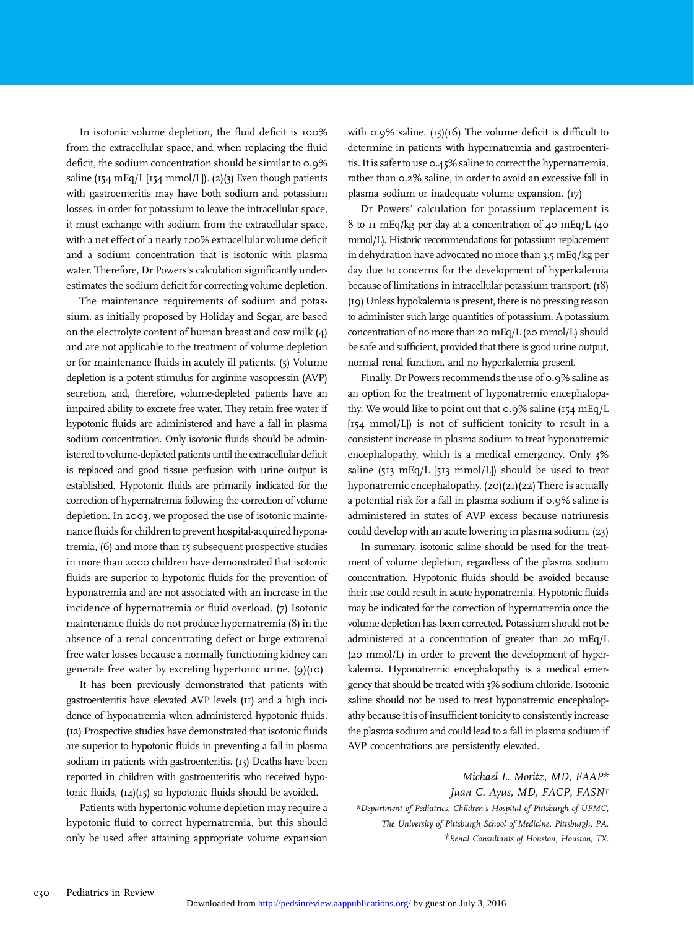In isotonic volume depletion, the fluid deficit is 100% from the extracellular space, and when replacing the fluid deficit, the sodium concentration should be similar to 0.9% saline (154 mEq/L [154 mmol/L]). (2)(3) Even though patients with gastroenteritis may have both sodium and potassium losses, in order for potassium to leave the intracellular space, it must exchange with sodium from the extracellular space, with a net effect of a nearly 100% extracellular volume deficit and a sodium concentration that is isotonic with plasma water. Therefore, Dr Powers's calculation significantly underestimates the sodium deficit for correcting volume depletion.

The maintenance requirements of sodium and potassium, as initially proposed by Holiday and Segar, are based on the electrolyte content of human breast and cow milk (4) and are not applicable to the treatment of volume depletion or for maintenance fluids in acutely ill patients. (5) Volume depletion is a potent stimulus for arginine vasopressin (AVP) secretion, and, therefore, volume-depleted patients have an impaired ability to excrete free water. They retain free water if hypotonic fluids are administered and have a fall in plasma sodium concentration. Only isotonic fluids should be administered to volume-depleted patients until the extracellular deficit is replaced and good tissue perfusion with urine output is established. Hypotonic fluids are primarily indicated for the correction of hypernatremia following the correction of volume depletion. In 2003, we proposed the use of isotonic maintenance fluids for children to prevent hospital-acquired hyponatremia, (6) and more than 15 subsequent prospective studies in more than 2000 children have demonstrated that isotonic fluids are superior to hypotonic fluids for the prevention of hyponatremia and are not associated with an increase in the incidence of hypernatremia or fluid overload. (7) Isotonic maintenance fluids do not produce hypernatremia (8) in the absence of a renal concentrating defect or large extrarenal free water losses because a normally functioning kidney can generate free water by excreting hypertonic urine. (9)(10)

It has been previously demonstrated that patients with gastroenteritis have elevated AVP levels (11) and a high incidence of hyponatremia when administered hypotonic fluids. (12) Prospective studies have demonstrated that isotonic fluids are superior to hypotonic fluids in preventing a fall in plasma sodium in patients with gastroenteritis. (13) Deaths have been reported in children with gastroenteritis who received hypotonic fluids, (14)(15) so hypotonic fluids should be avoided.

Patients with hypertonic volume depletion may require a hypotonic fluid to correct hypernatremia, but this should only be used after attaining appropriate volume expansion with  $0.9\%$  saline. (15)(16) The volume deficit is difficult to determine in patients with hypernatremia and gastroenteritis. It is safer to use 0.45% saline to correct the hypernatremia, rather than 0.2% saline, in order to avoid an excessive fall in plasma sodium or inadequate volume expansion. (17)

Dr Powers' calculation for potassium replacement is 8 to 11 mEq/kg per day at a concentration of 40 mEq/L (40 mmol/L). Historic recommendations for potassium replacement in dehydration have advocated no more than 3.5 mEq/kg per day due to concerns for the development of hyperkalemia because of limitations in intracellular potassium transport. (18) (19) Unless hypokalemia is present, there is no pressing reason to administer such large quantities of potassium. A potassium concentration of no more than 20 mEq/L (20 mmol/L) should be safe and sufficient, provided that there is good urine output, normal renal function, and no hyperkalemia present.

Finally, Dr Powers recommends the use of 0.9% saline as an option for the treatment of hyponatremic encephalopathy. We would like to point out that  $0.9\%$  saline (154 mEq/L [154 mmol/L]) is not of sufficient tonicity to result in a consistent increase in plasma sodium to treat hyponatremic encephalopathy, which is a medical emergency. Only 3% saline (513 mEq/L [513 mmol/L]) should be used to treat hyponatremic encephalopathy. (20)(21)(22) There is actually a potential risk for a fall in plasma sodium if 0.9% saline is administered in states of AVP excess because natriuresis could develop with an acute lowering in plasma sodium. (23)

In summary, isotonic saline should be used for the treatment of volume depletion, regardless of the plasma sodium concentration. Hypotonic fluids should be avoided because their use could result in acute hyponatremia. Hypotonic fluids may be indicated for the correction of hypernatremia once the volume depletion has been corrected. Potassium should not be administered at a concentration of greater than 20 mEq/L (20 mmol/L) in order to prevent the development of hyperkalemia. Hyponatremic encephalopathy is a medical emergency that should be treated with 3% sodium chloride. Isotonic saline should not be used to treat hyponatremic encephalopathy because it is of insufficient tonicity to consistently increase the plasma sodium and could lead to a fall in plasma sodium if AVP concentrations are persistently elevated.

Michael L. Moritz, MD, FAAP\* Juan C. Ayus, MD, FACP, FASN† \*Department of Pediatrics, Children's Hospital of Pittsburgh of UPMC, The University of Pittsburgh School of Medicine, Pittsburgh, PA. †Renal Consultants of Houston, Houston, TX.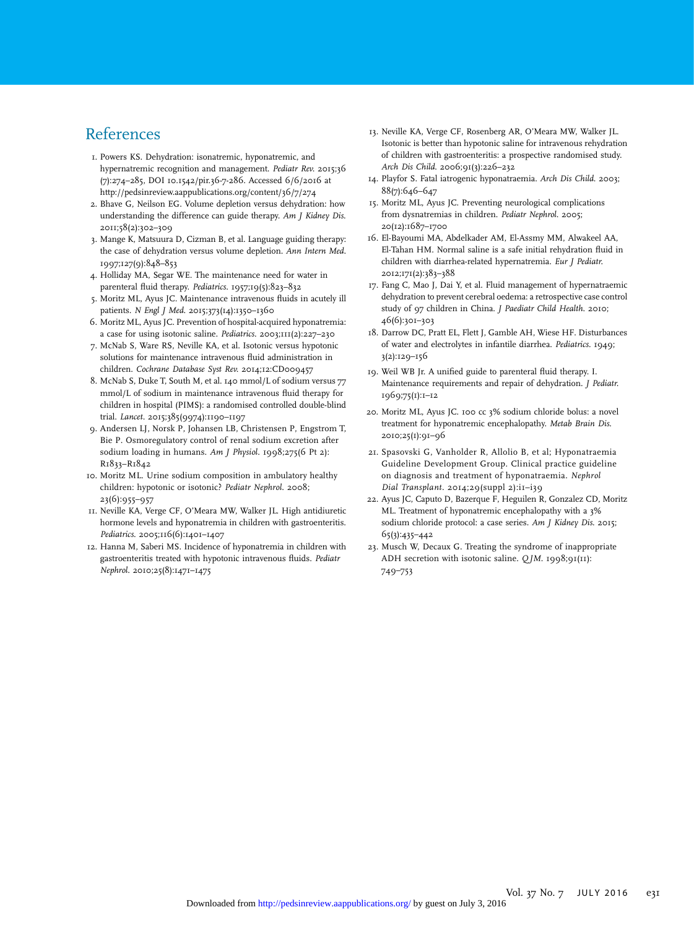#### References

- 1. Powers KS. Dehydration: isonatremic, hyponatremic, and hypernatremic recognition and management. Pediatr Rev. 2015;36 (7):274–285, DOI 10.1542/pir.36-7-286. Accessed 6/6/2016 at <http://pedsinreview.aappublications.org/content/36/7/274>
- 2. Bhave G, Neilson EG. Volume depletion versus dehydration: how understanding the difference can guide therapy. Am J Kidney Dis. 2011;58(2):302–309
- 3. Mange K, Matsuura D, Cizman B, et al. Language guiding therapy: the case of dehydration versus volume depletion. Ann Intern Med. 1997;127(9):848–853
- 4. Holliday MA, Segar WE. The maintenance need for water in parenteral fluid therapy. Pediatrics. 1957;19(5):823–832
- 5. Moritz ML, Ayus JC. Maintenance intravenous fluids in acutely ill patients. N Engl J Med. 2015;373(14):1350–1360
- 6. Moritz ML, Ayus JC. Prevention of hospital-acquired hyponatremia: a case for using isotonic saline. Pediatrics. 2003;111(2):227–230
- 7. McNab S, Ware RS, Neville KA, et al. Isotonic versus hypotonic solutions for maintenance intravenous fluid administration in children. Cochrane Database Syst Rev. 2014;12:CD009457
- 8. McNab S, Duke T, South M, et al. 140 mmol/L of sodium versus 77 mmol/L of sodium in maintenance intravenous fluid therapy for children in hospital (PIMS): a randomised controlled double-blind trial. Lancet. 2015;385(9974):1190–1197
- 9. Andersen LJ, Norsk P, Johansen LB, Christensen P, Engstrom T, Bie P. Osmoregulatory control of renal sodium excretion after sodium loading in humans. Am J Physiol. 1998;275(6 Pt 2): R1833–R1842
- 10. Moritz ML. Urine sodium composition in ambulatory healthy children: hypotonic or isotonic? Pediatr Nephrol. 2008; 23(6):955–957
- 11. Neville KA, Verge CF, O'Meara MW, Walker JL. High antidiuretic hormone levels and hyponatremia in children with gastroenteritis. Pediatrics. 2005;116(6):1401-1407
- 12. Hanna M, Saberi MS. Incidence of hyponatremia in children with gastroenteritis treated with hypotonic intravenous fluids. Pediatr Nephrol. 2010;25(8):1471–1475
- 13. Neville KA, Verge CF, Rosenberg AR, O'Meara MW, Walker JL. Isotonic is better than hypotonic saline for intravenous rehydration of children with gastroenteritis: a prospective randomised study. Arch Dis Child. 2006;91(3):226–232
- 14. Playfor S. Fatal iatrogenic hyponatraemia. Arch Dis Child. 2003; 88(7):646–647
- 15. Moritz ML, Ayus JC. Preventing neurological complications from dysnatremias in children. Pediatr Nephrol. 2005; 20(12):1687–1700
- 16. El-Bayoumi MA, Abdelkader AM, El-Assmy MM, Alwakeel AA, El-Tahan HM. Normal saline is a safe initial rehydration fluid in children with diarrhea-related hypernatremia. Eur J Pediatr. 2012;171(2):383–388
- 17. Fang C, Mao J, Dai Y, et al. Fluid management of hypernatraemic dehydration to prevent cerebral oedema: a retrospective case control study of 97 children in China. J Paediatr Child Health. 2010; 46(6):301–303
- 18. Darrow DC, Pratt EL, Flett J, Gamble AH, Wiese HF. Disturbances of water and electrolytes in infantile diarrhea. Pediatrics. 1949; 3(2):129–156
- 19. Weil WB Jr. A unified guide to parenteral fluid therapy. I. Maintenance requirements and repair of dehydration. J Pediatr. 1969;75(1):1–12
- 20. Moritz ML, Ayus JC. 100 cc 3% sodium chloride bolus: a novel treatment for hyponatremic encephalopathy. Metab Brain Dis. 2010;25(1):91–96
- 21. Spasovski G, Vanholder R, Allolio B, et al; Hyponatraemia Guideline Development Group. Clinical practice guideline on diagnosis and treatment of hyponatraemia. Nephrol Dial Transplant. 2014;29(suppl 2):i1–i39
- 22. Ayus JC, Caputo D, Bazerque F, Heguilen R, Gonzalez CD, Moritz ML. Treatment of hyponatremic encephalopathy with a 3% sodium chloride protocol: a case series. Am J Kidney Dis. 2015; 65(3):435–442
- 23. Musch W, Decaux G. Treating the syndrome of inappropriate ADH secretion with isotonic saline. QJM. 1998;91(11): 749–753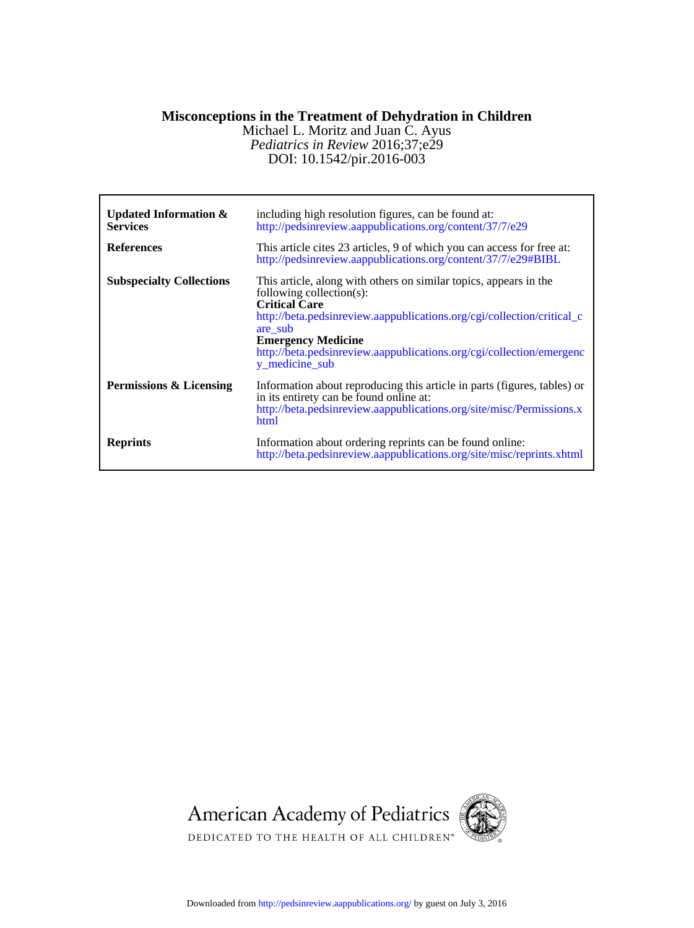#### **Misconceptions in the Treatment of Dehydration in Children**

DOI: 10.1542/pir.2016-003 *Pediatrics in Review* 2016;37;e29 Michael L. Moritz and Juan C. Ayus

| Updated Information $\&$<br><b>Services</b><br><b>References</b> | including high resolution figures, can be found at:<br>http://pedsinreview.aappublications.org/content/37/7/e29<br>This article cites 23 articles, 9 of which you can access for free at:<br>http://pedsinreview.aappublications.org/content/37/7/e29#BIBL                                                                        |
|------------------------------------------------------------------|-----------------------------------------------------------------------------------------------------------------------------------------------------------------------------------------------------------------------------------------------------------------------------------------------------------------------------------|
| <b>Subspecialty Collections</b>                                  | This article, along with others on similar topics, appears in the<br>following collection(s):<br><b>Critical Care</b><br>http://beta.pedsinreview.aappublications.org/cgi/collection/critical_c<br>are sub<br><b>Emergency Medicine</b><br>http://beta.pedsinreview.aappublications.org/cgi/collection/emergenc<br>y_medicine_sub |
| Permissions & Licensing                                          | Information about reproducing this article in parts (figures, tables) or<br>in its entirety can be found online at:<br>http://beta.pedsinreview.aappublications.org/site/misc/Permissions.x<br>html                                                                                                                               |
| <b>Reprints</b>                                                  | Information about ordering reprints can be found online:<br>http://beta.pedsinreview.aappublications.org/site/misc/reprints.xhtml                                                                                                                                                                                                 |